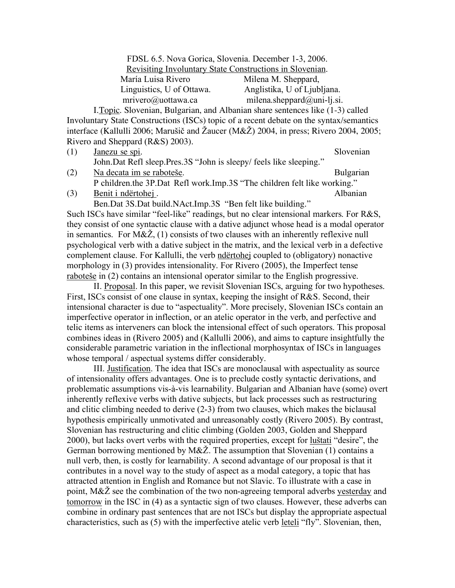FDSL 6.5. Nova Gorica, Slovenia. December 1-3, 2006. Revisiting Involuntary State Constructions in Slovenian. María Luisa Rivero Milena M. Sheppard, Linguistics, U of Ottawa. Anglistika, U of Ljubljana. mrivero@uottawa.ca milena.sheppard@uni-lj.si.

I.Topic. Slovenian, Bulgarian, and Albanian share sentences like (1-3) called Involuntary State Constructions (ISCs) topic of a recent debate on the syntax/semantics interface (Kallulli 2006; Marušič and Žaucer (M&Ž) 2004, in press; Rivero 2004, 2005; Rivero and Sheppard (R&S) 2003).

- (1) Janezu se spi. Slovenian John.Dat Refl sleep.Pres.3S "John is sleepy/ feels like sleeping."
- (2) Na decata im se raboteše. Bulgarian P children.the 3P.Dat Refl work.Imp.3S "The children felt like working."

(3) Benit i ndërtohej . Albanian

Ben.Dat 3S.Dat build.NAct.Imp.3S "Ben felt like building." Such ISCs have similar "feel-like" readings, but no clear intensional markers. For R&S, they consist of one syntactic clause with a dative adjunct whose head is a modal operator in semantics. For  $M\&\tilde{\mathbb{Z}}$ , (1) consists of two clauses with an inherently reflexive null psychological verb with a dative subject in the matrix, and the lexical verb in a defective complement clause. For Kallulli, the verb ndërtohej coupled to (obligatory) nonactive morphology in (3) provides intensionality. For Rivero (2005), the Imperfect tense

raboteše in (2) contains an intensional operator similar to the English progressive. II. Proposal. In this paper, we revisit Slovenian ISCs, arguing for two hypotheses. First, ISCs consist of one clause in syntax, keeping the insight of R&S. Second, their intensional character is due to "aspectuality". More precisely, Slovenian ISCs contain an imperfective operator in inflection, or an atelic operator in the verb, and perfective and telic items as interveners can block the intensional effect of such operators. This proposal combines ideas in (Rivero 2005) and (Kallulli 2006), and aims to capture insightfully the considerable parametric variation in the inflectional morphosyntax of ISCs in languages whose temporal / aspectual systems differ considerably.

III. Justification. The idea that ISCs are monoclausal with aspectuality as source of intensionality offers advantages. One is to preclude costly syntactic derivations, and problematic assumptions vis-à-vis learnability. Bulgarian and Albanian have (some) overt inherently reflexive verbs with dative subjects, but lack processes such as restructuring and clitic climbing needed to derive (2-3) from two clauses, which makes the biclausal hypothesis empirically unmotivated and unreasonably costly (Rivero 2005). By contrast, Slovenian has restructuring and clitic climbing (Golden 2003, Golden and Sheppard 2000), but lacks overt verbs with the required properties, except for luštati "desire", the German borrowing mentioned by  $M\&\check{Z}$ . The assumption that Slovenian (1) contains a null verb, then, is costly for learnability. A second advantage of our proposal is that it contributes in a novel way to the study of aspect as a modal category, a topic that has attracted attention in English and Romance but not Slavic. To illustrate with a case in point,  $M\&\mathring{Z}$  see the combination of the two non-agreeing temporal adverbs yesterday and tomorrow in the ISC in (4) as a syntactic sign of two clauses. However, these adverbs can combine in ordinary past sentences that are not ISCs but display the appropriate aspectual characteristics, such as (5) with the imperfective atelic verb <u>leteli</u> "fly". Slovenian, then,